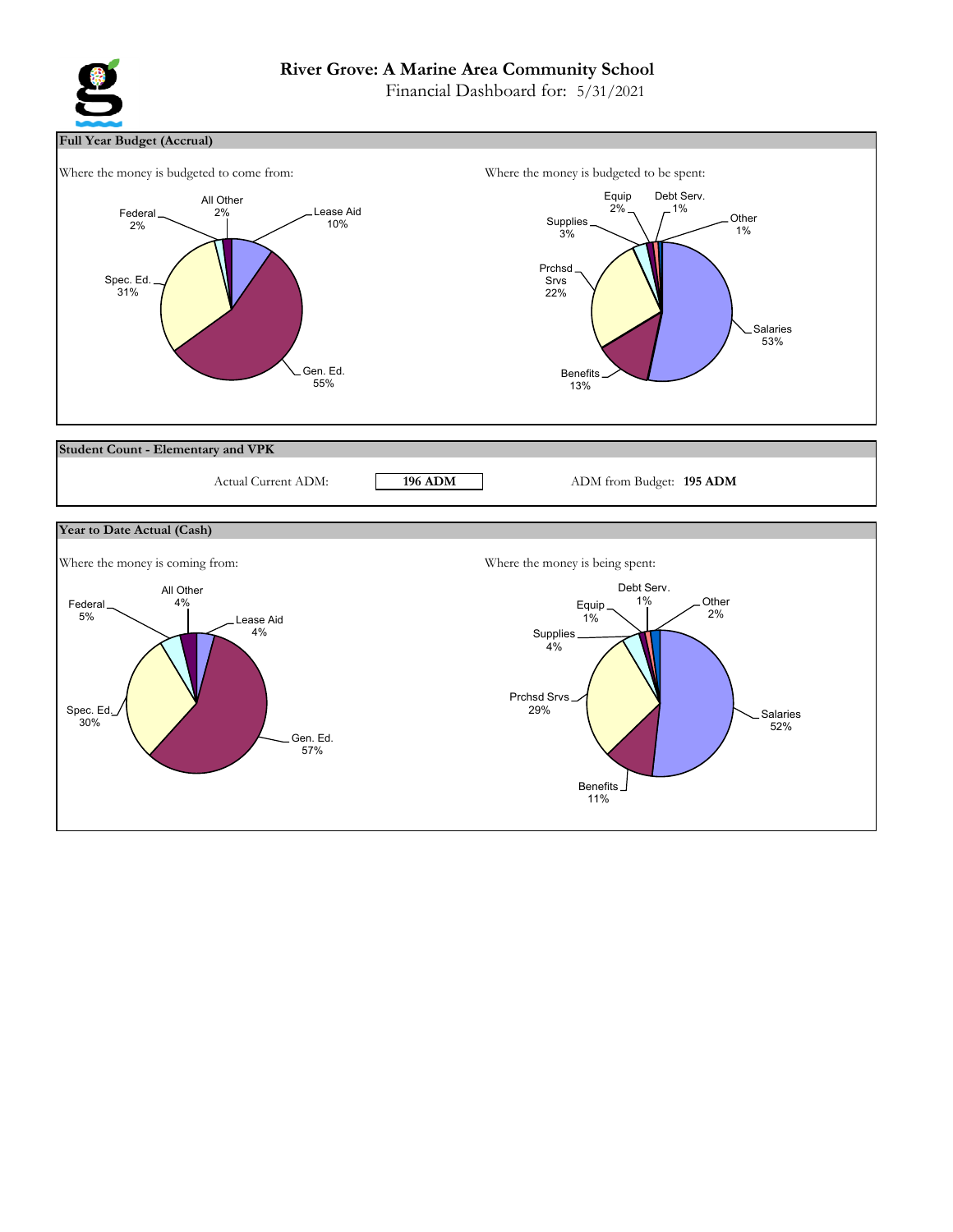# **River Grove: A Marine Area Community School**

Financial Dashboard for: 5/31/2021



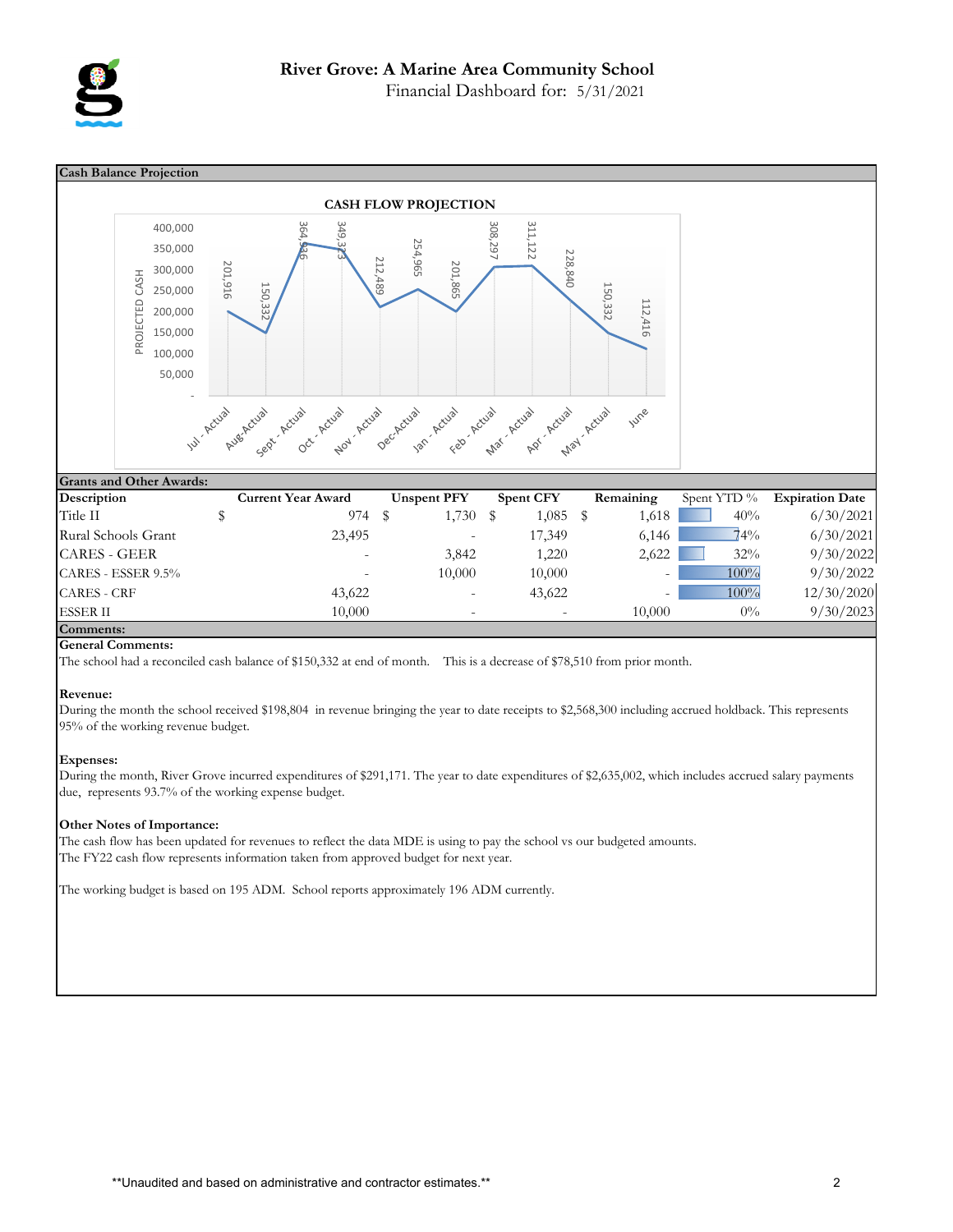

Financial Dashboard for: 5/31/2021



#### **General Comments:**

The school had a reconciled cash balance of \$150,332 at end of month. This is a decrease of \$78,510 from prior month.

#### **Revenue:**

During the month the school received \$198,804 in revenue bringing the year to date receipts to \$2,568,300 including accrued holdback. This represents 95% of the working revenue budget.

#### **Expenses:**

During the month, River Grove incurred expenditures of \$291,171. The year to date expenditures of \$2,635,002, which includes accrued salary payments due, represents 93.7% of the working expense budget.

#### **Other Notes of Importance:**

The cash flow has been updated for revenues to reflect the data MDE is using to pay the school vs our budgeted amounts. The FY22 cash flow represents information taken from approved budget for next year.

The working budget is based on 195 ADM. School reports approximately 196 ADM currently.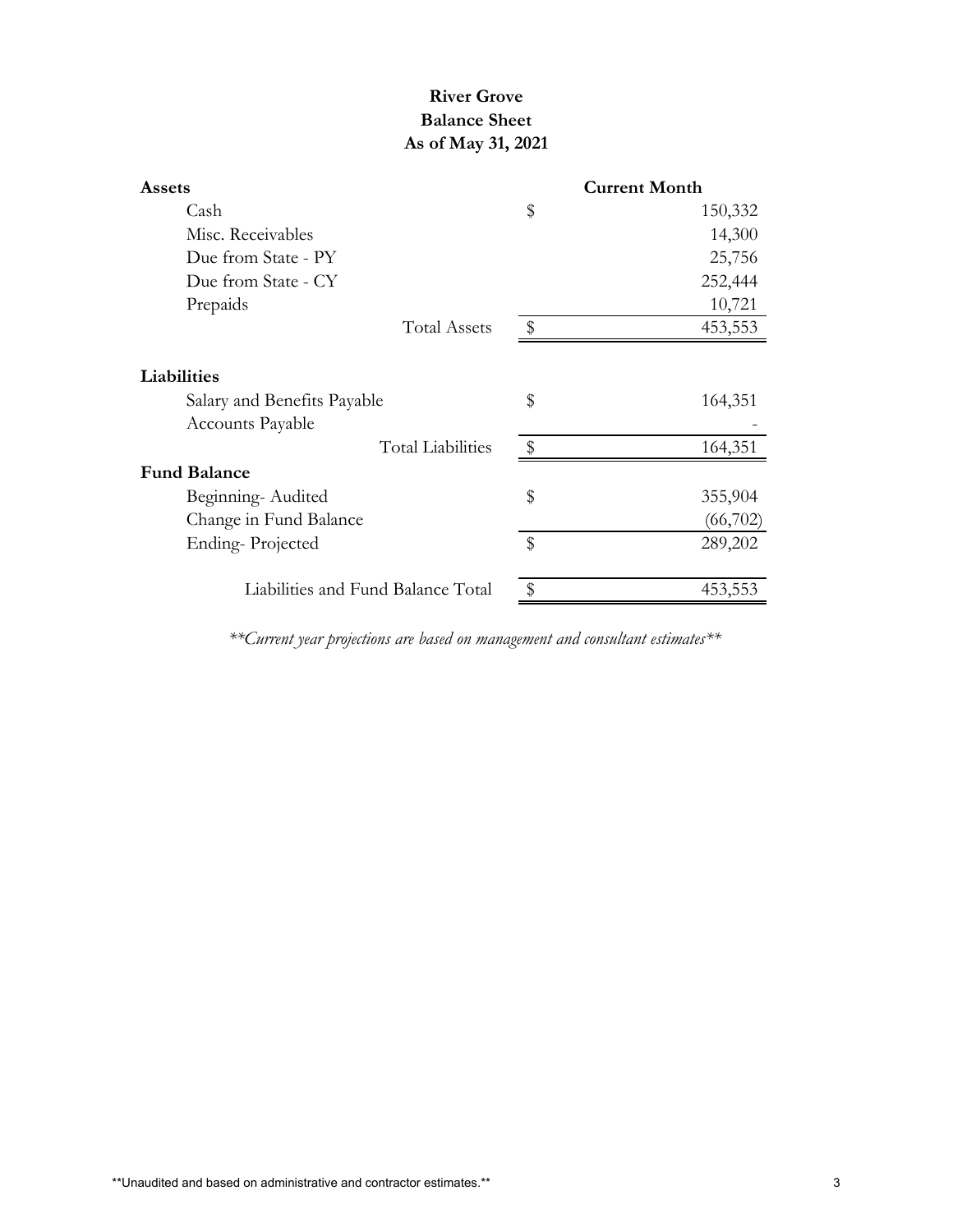# **River Grove Balance Sheet As of May 31, 2021**

|                           | <b>Current Month</b> |
|---------------------------|----------------------|
| \$                        | 150,332              |
|                           | 14,300               |
|                           | 25,756               |
|                           | 252,444              |
|                           | 10,721               |
| \$                        | 453,553              |
|                           |                      |
| \$                        | 164,351              |
|                           |                      |
| $\frac{1}{2}$             | 164,351              |
|                           |                      |
| \$                        | 355,904              |
|                           | (66,702)             |
| $\boldsymbol{\mathsf{S}}$ | 289,202              |
|                           | 453,553              |
|                           |                      |

*\*\*Current year projections are based on management and consultant estimates\*\**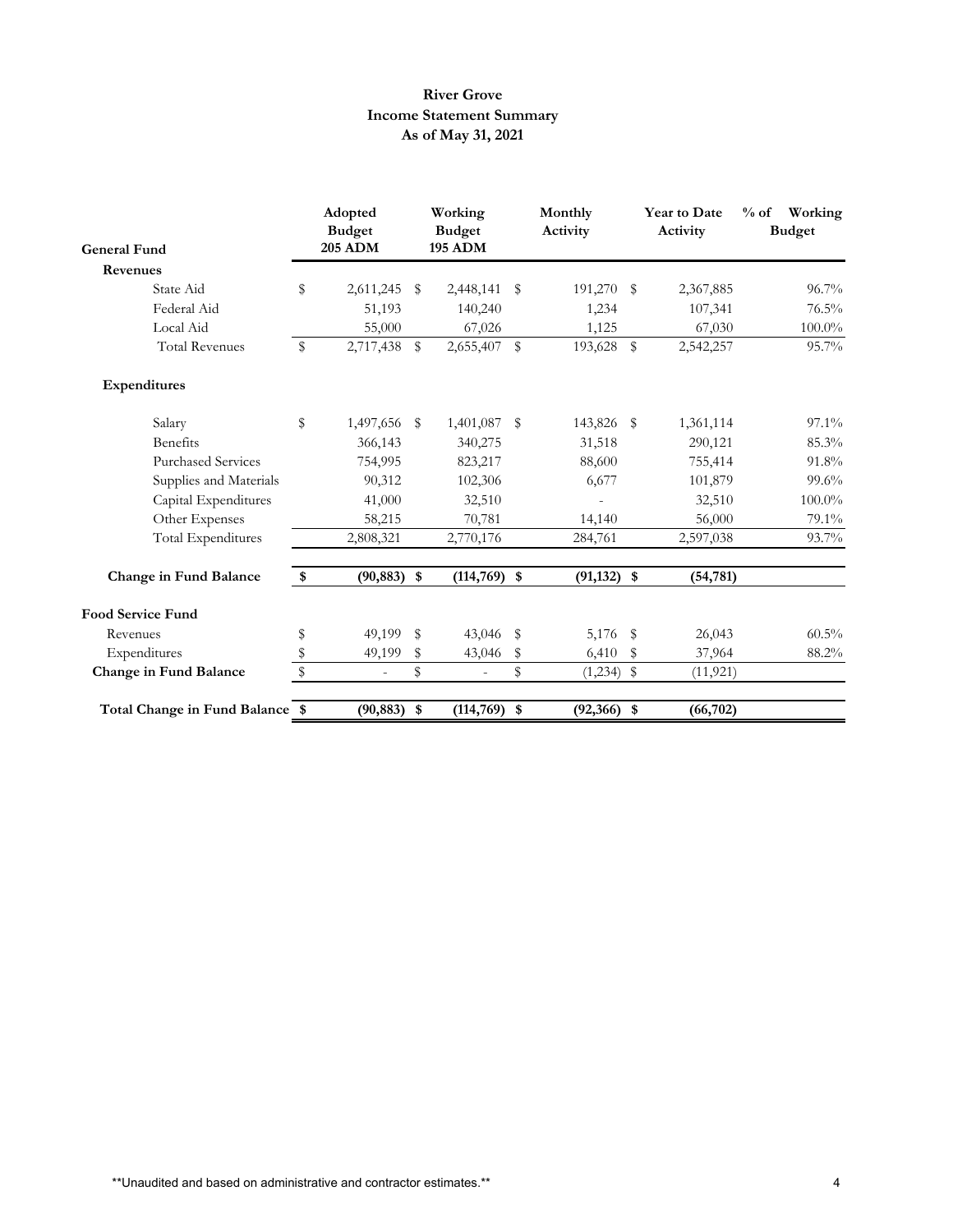# **River Grove Income Statement Summary As of May 31, 2021**

| <b>General Fund</b>             | Adopted<br><b>Budget</b><br><b>205 ADM</b> | Working<br><b>Budget</b><br><b>195 ADM</b> |             | Monthly<br>Activity |             | <b>Year to Date</b><br>Activity |           |  | $%$ of<br>Working<br><b>Budget</b> |  |  |  |
|---------------------------------|--------------------------------------------|--------------------------------------------|-------------|---------------------|-------------|---------------------------------|-----------|--|------------------------------------|--|--|--|
| <b>Revenues</b>                 |                                            |                                            |             |                     |             |                                 |           |  |                                    |  |  |  |
| State Aid                       | \$<br>2,611,245                            | \$<br>2,448,141                            | \$          | 191,270 \$          |             | 2,367,885                       | $96.7\%$  |  |                                    |  |  |  |
| Federal Aid                     | 51,193                                     | 140,240                                    |             | 1,234               |             | 107,341                         | $76.5\%$  |  |                                    |  |  |  |
| Local Aid                       | 55,000                                     | 67,026                                     |             | 1,125               |             | 67,030                          | $100.0\%$ |  |                                    |  |  |  |
| <b>Total Revenues</b>           | \$<br>2,717,438 \$                         | 2,655,407                                  | $\mathbb S$ | 193,628             | $\mathbb S$ | 2,542,257                       | $95.7\%$  |  |                                    |  |  |  |
| Expenditures                    |                                            |                                            |             |                     |             |                                 |           |  |                                    |  |  |  |
| Salary                          | \$<br>1,497,656 \$                         | 1,401,087                                  | \$          | 143,826 \$          |             | 1,361,114                       | $97.1\%$  |  |                                    |  |  |  |
| <b>Benefits</b>                 | 366,143                                    | 340,275                                    |             | 31,518              |             | 290,121                         | 85.3%     |  |                                    |  |  |  |
| <b>Purchased Services</b>       | 754,995                                    | 823,217                                    |             | 88,600              |             | 755,414                         | 91.8%     |  |                                    |  |  |  |
| Supplies and Materials          | 90,312                                     | 102,306                                    |             | 6,677               |             | 101,879                         | 99.6%     |  |                                    |  |  |  |
| Capital Expenditures            | 41,000                                     | 32,510                                     |             |                     |             | 32,510                          | 100.0%    |  |                                    |  |  |  |
| Other Expenses                  | 58,215                                     | 70,781                                     |             | 14,140              |             | 56,000                          | 79.1%     |  |                                    |  |  |  |
| <b>Total Expenditures</b>       | 2,808,321                                  | 2,770,176                                  |             | 284,761             |             | 2,597,038                       | 93.7%     |  |                                    |  |  |  |
| Change in Fund Balance          | \$<br>$(90, 883)$ \$                       | $(114,769)$ \$                             |             | $(91, 132)$ \$      |             | (54, 781)                       |           |  |                                    |  |  |  |
| <b>Food Service Fund</b>        |                                            |                                            |             |                     |             |                                 |           |  |                                    |  |  |  |
| Revenues                        | \$<br>49,199 \$                            | 43,046                                     | - \$        | 5,176 \$            |             | 26,043                          | $60.5\%$  |  |                                    |  |  |  |
| Expenditures                    | \$<br>49,199                               | \$<br>43,046                               | \$          | 6,410               | \$          | 37,964                          | 88.2%     |  |                                    |  |  |  |
| Change in Fund Balance          | \$<br>$\sim$                               | \$<br>$\overline{a}$                       | \$          | $(1,234)$ \$        |             | (11, 921)                       |           |  |                                    |  |  |  |
| Total Change in Fund Balance \$ | $(90, 883)$ \$                             | $(114, 769)$ \$                            |             | $(92,366)$ \$       |             | (66, 702)                       |           |  |                                    |  |  |  |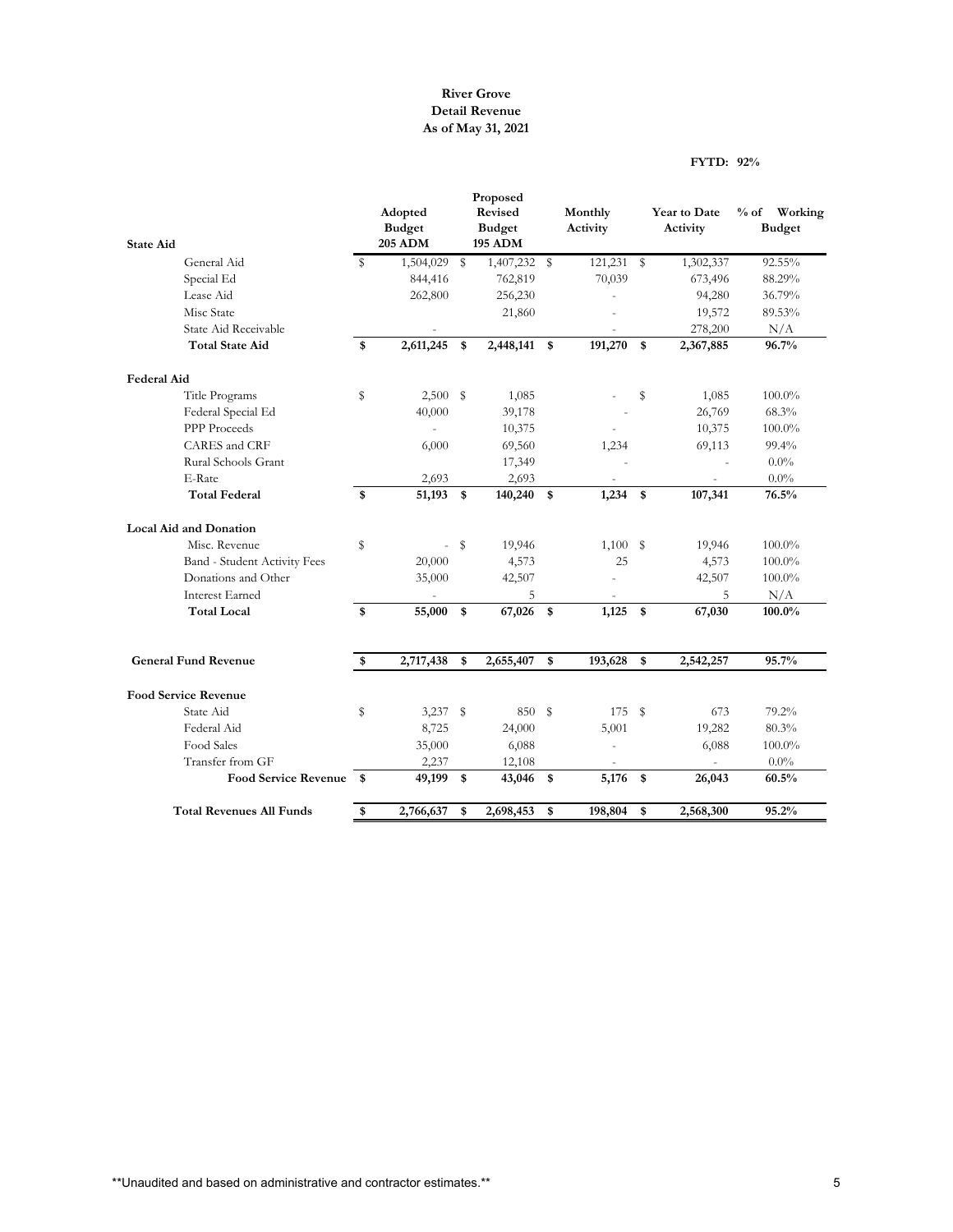## **River Grove Detail Revenue As of May 31, 2021**

#### **FYTD: 92%**

|                                 |              |                                            |              | Proposed                                   |                     |                           |                          |                                    |
|---------------------------------|--------------|--------------------------------------------|--------------|--------------------------------------------|---------------------|---------------------------|--------------------------|------------------------------------|
| <b>State Aid</b>                |              | Adopted<br><b>Budget</b><br><b>205 ADM</b> |              | Revised<br><b>Budget</b><br><b>195 ADM</b> | Monthly<br>Activity |                           | Year to Date<br>Activity | $%$ of<br>Working<br><b>Budget</b> |
| General Aid                     | S.           | 1,504,029                                  | $\mathbb{S}$ | 1,407,232                                  | \$<br>121,231       | ${\mathbb S}$             | 1,302,337                | 92.55%                             |
| Special Ed                      |              | 844,416                                    |              | 762,819                                    | 70,039              |                           | 673,496                  | 88.29%                             |
| Lease Aid                       |              | 262,800                                    |              | 256,230                                    |                     |                           | 94,280                   | 36.79%                             |
| Misc State                      |              |                                            |              | 21,860                                     |                     |                           | 19,572                   | 89.53%                             |
| State Aid Receivable            |              |                                            |              |                                            |                     |                           | 278,200                  | N/A                                |
| <b>Total State Aid</b>          | \$           | 2,611,245                                  | \$           | 2,448,141                                  | \$<br>191,270       | \$                        | 2,367,885                | 96.7%                              |
| <b>Federal Aid</b>              |              |                                            |              |                                            |                     |                           |                          |                                    |
| Title Programs                  | \$           | $2,500$ \$                                 |              | 1,085                                      |                     | \$                        | 1,085                    | $100.0\%$                          |
| Federal Special Ed              |              | 40,000                                     |              | 39,178                                     |                     |                           | 26,769                   | 68.3%                              |
| PPP Proceeds                    |              |                                            |              | 10,375                                     |                     |                           | 10,375                   | 100.0%                             |
| CARES and CRF                   |              | 6,000                                      |              | 69,560                                     | 1,234               |                           | 69,113                   | 99.4%                              |
| Rural Schools Grant             |              |                                            |              | 17,349                                     |                     |                           |                          | 0.0%                               |
| E-Rate                          |              | 2,693                                      |              | 2,693                                      |                     |                           |                          | $0.0\%$                            |
| <b>Total Federal</b>            | \$           | 51,193 \$                                  |              | 140,240                                    | \$<br>1,234         | $\mathbf s$               | 107,341                  | 76.5%                              |
| <b>Local Aid and Donation</b>   |              |                                            |              |                                            |                     |                           |                          |                                    |
| Misc. Revenue                   | \$           | L.                                         | S            | 19,946                                     | 1,100S              |                           | 19,946                   | 100.0%                             |
| Band - Student Activity Fees    |              | 20,000                                     |              | 4,573                                      | 25                  |                           | 4,573                    | $100.0\%$                          |
| Donations and Other             |              | 35,000                                     |              | 42,507                                     |                     |                           | 42,507                   | $100.0\%$                          |
| <b>Interest Earned</b>          |              |                                            |              | 5                                          |                     |                           | 5                        | N/A                                |
| <b>Total Local</b>              | \$           | 55,000                                     | $\mathbf s$  | 67,026                                     | \$<br>1,125         | $\boldsymbol{\mathsf{s}}$ | 67,030                   | 100.0%                             |
| <b>General Fund Revenue</b>     | \$           | 2,717,438                                  | \$           | 2,655,407                                  | \$<br>193,628       | \$                        | 2,542,257                | 95.7%                              |
| <b>Food Service Revenue</b>     |              |                                            |              |                                            |                     |                           |                          |                                    |
| State Aid                       | \$           | $3,237$ \$                                 |              | 850                                        | \$<br>175           | s                         | 673                      | 79.2%                              |
| Federal Aid                     |              | 8,725                                      |              | 24,000                                     | 5,001               |                           | 19,282                   | 80.3%                              |
| Food Sales                      |              | 35,000                                     |              | 6,088                                      |                     |                           | 6,088                    | $100.0\%$                          |
| Transfer from GF                |              | 2,237                                      |              | 12,108                                     |                     |                           |                          | $0.0\%$                            |
| <b>Food Service Revenue</b>     | $\mathbf{s}$ | 49,199                                     | \$           | 43,046                                     | \$<br>5,176         | \$                        | 26,043                   | 60.5%                              |
| <b>Total Revenues All Funds</b> | \$           | 2,766,637                                  | \$           | 2,698,453                                  | \$<br>198,804       | \$                        | 2,568,300                | 95.2%                              |
|                                 |              |                                            |              |                                            |                     |                           |                          |                                    |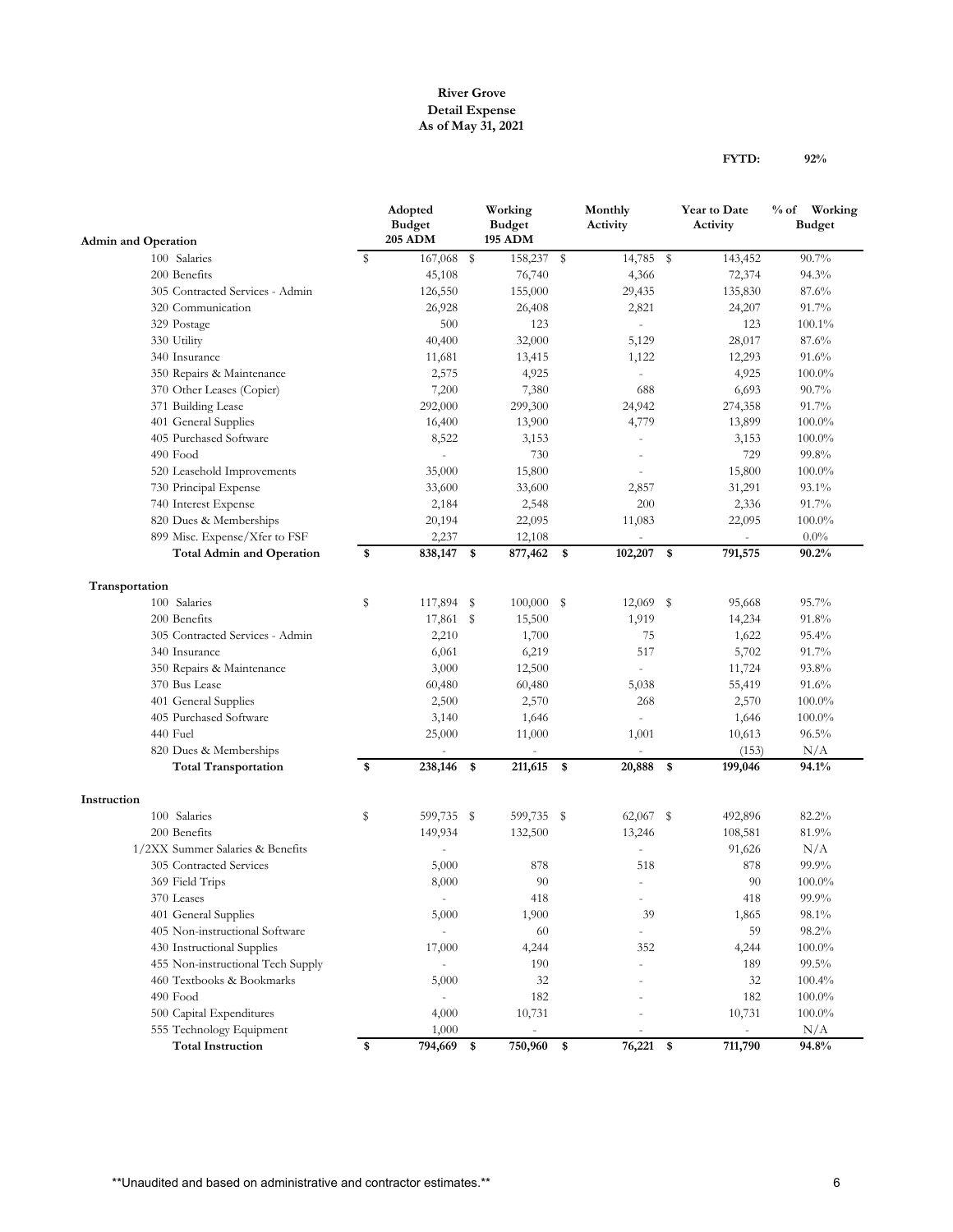### **River Grove Detail Expense As of May 31, 2021**

| <b>FYTD:</b> | 92% |
|--------------|-----|
|              |     |

|                                                      |    | Adopted<br><b>Budget</b><br><b>205 ADM</b> |      | Working<br><b>Budget</b><br><b>195 ADM</b> | Monthly<br>Activity      | Year to Date<br>Activity | $%$ of<br>Working<br><b>Budget</b> |
|------------------------------------------------------|----|--------------------------------------------|------|--------------------------------------------|--------------------------|--------------------------|------------------------------------|
| <b>Admin and Operation</b>                           |    |                                            |      |                                            |                          |                          | 90.7%                              |
| 100 Salaries                                         | s  | 167,068 \$                                 |      | 158,237 \$                                 | 14,785 \$                | 143,452                  |                                    |
| 200 Benefits                                         |    | 45,108                                     |      | 76,740                                     | 4,366                    | 72,374                   | 94.3%                              |
| 305 Contracted Services - Admin<br>320 Communication |    | 126,550                                    |      | 155,000                                    | 29,435                   | 135,830                  | 87.6%                              |
|                                                      |    | 26,928                                     |      | 26,408                                     | 2,821                    | 24,207                   | 91.7%                              |
| 329 Postage                                          |    | 500                                        |      | 123                                        |                          | 123                      | 100.1%                             |
| 330 Utility                                          |    | 40,400                                     |      | 32,000                                     | 5,129                    | 28,017                   | 87.6%                              |
| 340 Insurance                                        |    | 11,681                                     |      | 13,415                                     | 1,122                    | 12,293                   | $91.6\%$                           |
| 350 Repairs & Maintenance                            |    | 2,575                                      |      | 4,925                                      |                          | 4,925                    | 100.0%                             |
| 370 Other Leases (Copier)                            |    | 7,200                                      |      | 7,380                                      | 688                      | 6,693                    | 90.7%                              |
| 371 Building Lease                                   |    | 292,000                                    |      | 299,300                                    | 24,942                   | 274,358                  | 91.7%                              |
| 401 General Supplies                                 |    | 16,400                                     |      | 13,900                                     | 4,779                    | 13,899                   | $100.0\%$                          |
| 405 Purchased Software                               |    | 8,522                                      |      | 3,153                                      | L,                       | 3,153                    | $100.0\%$                          |
| 490 Food                                             |    | ÷.                                         |      | 730                                        |                          | 729                      | 99.8%                              |
| 520 Leasehold Improvements                           |    | 35,000                                     |      | 15,800                                     |                          | 15,800                   | $100.0\%$                          |
| 730 Principal Expense                                |    | 33,600                                     |      | 33,600                                     | 2,857                    | 31,291                   | 93.1%                              |
| 740 Interest Expense                                 |    | 2,184                                      |      | 2,548                                      | 200                      | 2,336                    | 91.7%                              |
| 820 Dues & Memberships                               |    | 20,194                                     |      | 22,095                                     | 11,083                   | 22,095                   | 100.0%                             |
| 899 Misc. Expense/Xfer to FSF                        |    | 2,237                                      |      | 12,108                                     |                          |                          | $0.0\%$                            |
| <b>Total Admin and Operation</b>                     | \$ | 838,147                                    | \$   | 877,462                                    | \$<br>$102,207$ \$       | 791,575                  | 90.2%                              |
| Transportation                                       |    |                                            |      |                                            |                          |                          |                                    |
| 100 Salaries                                         | S  | 117,894                                    | - \$ | $100,000$ \$                               | $12,069$ \$              | 95,668                   | 95.7%                              |
| 200 Benefits                                         |    | 17,861 \$                                  |      | 15,500                                     | 1,919                    | 14,234                   | 91.8%                              |
| 305 Contracted Services - Admin                      |    | 2,210                                      |      | 1,700                                      | 75                       | 1,622                    | 95.4%                              |
| 340 Insurance                                        |    | 6,061                                      |      | 6,219                                      | 517                      | 5,702                    | 91.7%                              |
| 350 Repairs & Maintenance                            |    | 3,000                                      |      | 12,500                                     |                          | 11,724                   | 93.8%                              |
| 370 Bus Lease                                        |    | 60,480                                     |      | 60,480                                     | 5,038                    | 55,419                   | $91.6\%$                           |
| 401 General Supplies                                 |    | 2,500                                      |      | 2,570                                      | 268                      | 2,570                    | $100.0\%$                          |
| 405 Purchased Software                               |    | 3,140                                      |      | 1,646                                      | L.                       | 1,646                    | $100.0\%$                          |
| 440 Fuel                                             |    | 25,000                                     |      | 11,000                                     | 1,001                    | 10,613                   | $96.5\%$                           |
| 820 Dues & Memberships                               |    |                                            |      |                                            |                          | (153)                    | N/A                                |
| <b>Total Transportation</b>                          | \$ | 238,146 \$                                 |      | 211,615 \$                                 | 20,888 \$                | 199,046                  | 94.1%                              |
| Instruction                                          |    |                                            |      |                                            |                          |                          |                                    |
| 100 Salaries                                         | \$ | 599,735 \$                                 |      | 599,735 \$                                 | 62,067 \$                | 492,896                  | 82.2%                              |
| 200 Benefits                                         |    | 149,934                                    |      | 132,500                                    | 13,246                   | 108,581                  | 81.9%                              |
| 1/2XX Summer Salaries & Benefits                     |    |                                            |      |                                            |                          | 91,626                   | N/A                                |
| 305 Contracted Services                              |    | 5,000                                      |      | 878                                        | 518                      | 878                      | 99.9%                              |
| 369 Field Trips                                      |    | 8,000                                      |      | 90                                         | $\overline{\phantom{a}}$ | 90                       | $100.0\%$                          |
| 370 Leases                                           |    | $\overline{\phantom{a}}$                   |      | 418                                        | $\overline{\phantom{0}}$ | 418                      | $99.9\%$                           |
| 401 General Supplies                                 |    | 5,000                                      |      | 1,900                                      | 39                       | 1,865                    | 98.1%                              |
| 405 Non-instructional Software                       |    | $\overline{\phantom{a}}$                   |      | 60                                         |                          | 59                       | 98.2%                              |
| 430 Instructional Supplies                           |    | 17,000                                     |      | 4,244                                      | 352                      | 4,244                    | $100.0\%$                          |
| 455 Non-instructional Tech Supply                    |    | $\blacksquare$                             |      | 190                                        |                          | 189                      | 99.5%                              |
| 460 Textbooks & Bookmarks                            |    | 5,000                                      |      | 32                                         |                          | 32                       | 100.4%                             |
| 490 Food                                             |    | $\overline{\phantom{a}}$                   |      | 182                                        |                          | 182                      | $100.0\%$                          |
| 500 Capital Expenditures                             |    | 4,000                                      |      | 10,731                                     |                          | 10,731                   | $100.0\%$                          |
| 555 Technology Equipment                             |    | 1,000                                      |      | $\overline{\phantom{a}}$                   | $\qquad \qquad -$        | $\overline{\phantom{a}}$ | N/A                                |
| <b>Total Instruction</b>                             | \$ | 794,669                                    | \$   | 750,960                                    | \$<br>76,221 \$          | 711,790                  | 94.8%                              |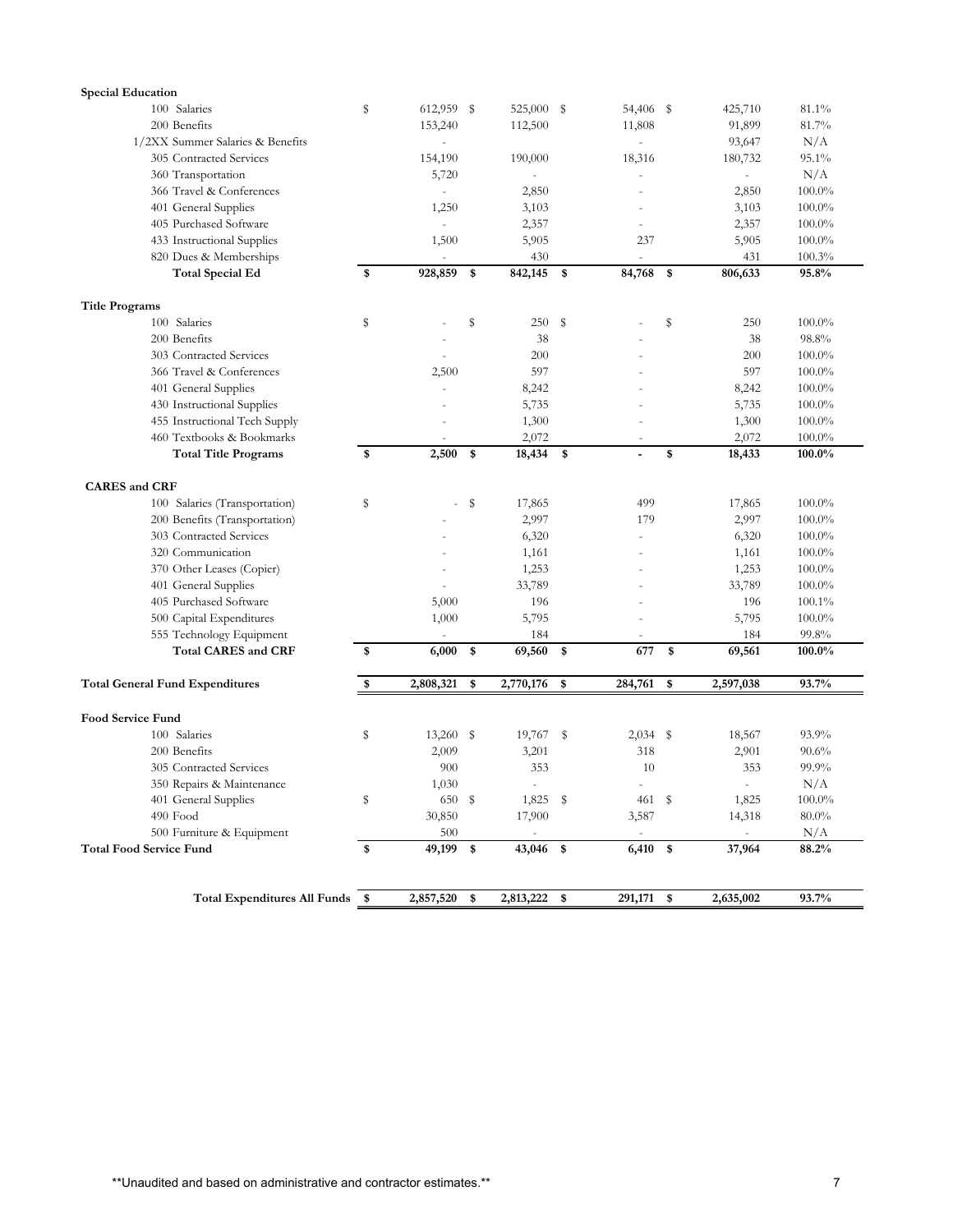| <b>Special Education</b>               |    |                          |    |                          |      |                          |             |                          |           |
|----------------------------------------|----|--------------------------|----|--------------------------|------|--------------------------|-------------|--------------------------|-----------|
| 100 Salaries                           | S  | 612,959 \$               |    | 525,000 \$               |      | 54,406 \$                |             | 425,710                  | 81.1%     |
| 200 Benefits                           |    | 153,240                  |    | 112,500                  |      | 11,808                   |             | 91,899                   | 81.7%     |
| 1/2XX Summer Salaries & Benefits       |    | ä,                       |    |                          |      |                          |             | 93,647                   | N/A       |
| 305 Contracted Services                |    | 154,190                  |    | 190,000                  |      | 18,316                   |             | 180,732                  | 95.1%     |
| 360 Transportation                     |    | 5,720                    |    |                          |      |                          |             |                          | N/A       |
| 366 Travel & Conferences               |    | $\sim$                   |    | 2,850                    |      |                          |             | 2,850                    | $100.0\%$ |
| 401 General Supplies                   |    | 1,250                    |    | 3,103                    |      |                          |             | 3,103                    | $100.0\%$ |
| 405 Purchased Software                 |    | $\overline{\phantom{a}}$ |    | 2,357                    |      |                          |             | 2,357                    | $100.0\%$ |
| 433 Instructional Supplies             |    | 1,500                    |    | 5,905                    |      | 237                      |             | 5,905                    | $100.0\%$ |
| 820 Dues & Memberships                 |    |                          |    | 430                      |      |                          |             | 431                      | 100.3%    |
| <b>Total Special Ed</b>                | \$ | 928,859                  | \$ | 842,145                  | - \$ | 84,768                   | $\mathbf s$ | 806,633                  | 95.8%     |
| <b>Title Programs</b>                  |    |                          |    |                          |      |                          |             |                          |           |
| 100 Salaries                           | S  |                          | \$ | 250                      | \$   |                          | S           | 250                      | 100.0%    |
| 200 Benefits                           |    |                          |    | 38                       |      |                          |             | 38                       | 98.8%     |
| 303 Contracted Services                |    |                          |    | 200                      |      |                          |             | 200                      | $100.0\%$ |
| 366 Travel & Conferences               |    | 2,500                    |    | 597                      |      |                          |             | 597                      | 100.0%    |
| 401 General Supplies                   |    |                          |    | 8,242                    |      |                          |             | 8,242                    | 100.0%    |
| 430 Instructional Supplies             |    |                          |    | 5,735                    |      |                          |             | 5,735                    | $100.0\%$ |
| 455 Instructional Tech Supply          |    |                          |    | 1,300                    |      |                          |             | 1,300                    | $100.0\%$ |
| 460 Textbooks & Bookmarks              |    |                          |    | 2,072                    |      | $\overline{\phantom{a}}$ |             | 2,072                    | $100.0\%$ |
| <b>Total Title Programs</b>            | \$ | 2,500                    | \$ | 18,434                   | \$   |                          | \$          | 18,433                   | 100.0%    |
| <b>CARES</b> and CRF                   |    |                          |    |                          |      |                          |             |                          |           |
| 100 Salaries (Transportation)          | s  |                          | s  | 17,865                   |      | 499                      |             | 17,865                   | 100.0%    |
| 200 Benefits (Transportation)          |    |                          |    | 2,997                    |      | 179                      |             | 2,997                    | $100.0\%$ |
| 303 Contracted Services                |    |                          |    | 6,320                    |      |                          |             | 6,320                    | $100.0\%$ |
| 320 Communication                      |    |                          |    | 1,161                    |      |                          |             | 1,161                    | $100.0\%$ |
| 370 Other Leases (Copier)              |    |                          |    | 1,253                    |      |                          |             | 1,253                    | 100.0%    |
| 401 General Supplies                   |    |                          |    | 33,789                   |      |                          |             | 33,789                   | $100.0\%$ |
| 405 Purchased Software                 |    | 5,000                    |    | 196                      |      |                          |             | 196                      | 100.1%    |
| 500 Capital Expenditures               |    | 1,000                    |    | 5,795                    |      |                          |             | 5,795                    | $100.0\%$ |
| 555 Technology Equipment               |    |                          |    | 184                      |      | $\overline{a}$           |             | 184                      | 99.8%     |
| <b>Total CARES and CRF</b>             | \$ | 6,000                    | \$ | 69,560                   | \$   | 677                      | \$          | 69,561                   | 100.0%    |
| <b>Total General Fund Expenditures</b> | \$ | 2,808,321                | \$ | 2,770,176                | \$   | 284,761                  | \$          | 2,597,038                | 93.7%     |
|                                        |    |                          |    |                          |      |                          |             |                          |           |
| <b>Food Service Fund</b>               |    |                          |    |                          |      |                          |             |                          |           |
| 100 Salaries                           | S  | $13,260$ \$              |    | $19,767$ \$              |      | $2,034$ \$               |             | 18,567                   | 93.9%     |
| 200 Benefits                           |    | 2,009                    |    | 3,201                    |      | 318                      |             | 2,901                    | 90.6%     |
| 305 Contracted Services                |    | 900                      |    | 353                      |      | 10                       |             | 353                      | 99.9%     |
| 350 Repairs & Maintenance              |    | 1,030                    |    |                          |      |                          |             |                          | $\rm N/A$ |
| 401 General Supplies                   | Ş  | 650 \$                   |    | $1,825$ \$               |      | 461 \$                   |             | 1,825                    | $100.0\%$ |
| 490 Food                               |    | 30,850                   |    | 17,900                   |      | 3,587                    |             | 14,318                   | $80.0\%$  |
| 500 Furniture & Equipment              |    | 500                      |    | $\overline{\phantom{a}}$ |      |                          |             | $\overline{\phantom{a}}$ | N/A       |
| <b>Total Food Service Fund</b>         | \$ | 49,199 \$                |    | 43,046 \$                |      | 6,410 \$                 |             | 37,964                   | 88.2%     |
|                                        |    |                          |    |                          |      |                          |             |                          |           |
| Total Expenditures All Funds \$        |    | 2,857,520                | \$ | 2,813,222                | \$   | 291,171 \$               |             | 2,635,002                | 93.7%     |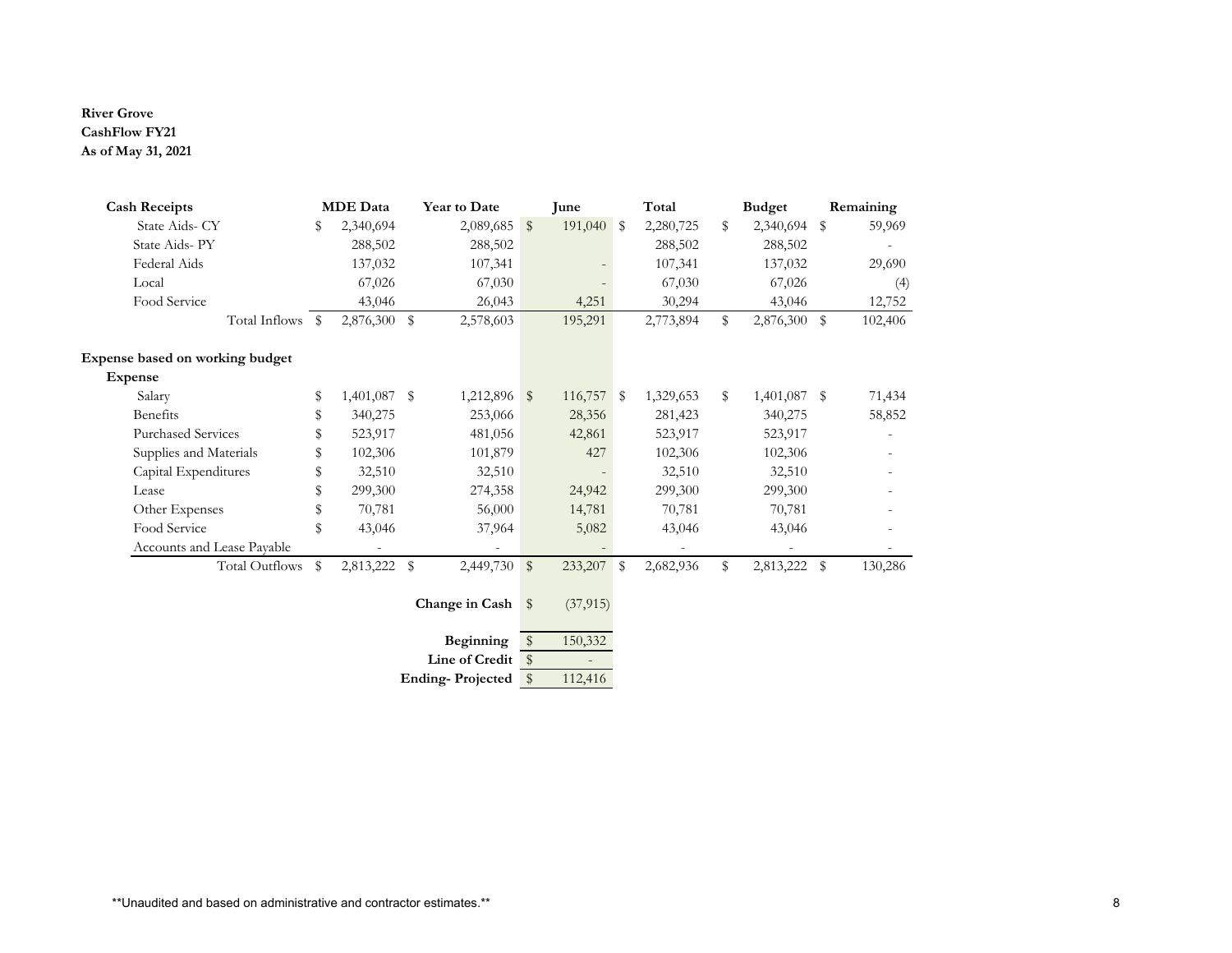#### **River Grove CashFlow FY21 \$ 175,552.05 2,106,624.60 \$ As of May 31, 2021**

| <b>Cash Receipts</b>            | <b>MDE</b> Data    |      | Year to Date            |                         | June       | Total           | <b>Budget</b>      |      | Remaining |
|---------------------------------|--------------------|------|-------------------------|-------------------------|------------|-----------------|--------------------|------|-----------|
| State Aids- CY                  | \$<br>2,340,694    |      | 2,089,685               | $\sqrt[6]{\frac{1}{2}}$ | 191,040 \$ | 2,280,725       | \$<br>2,340,694 \$ |      | 59,969    |
| State Aids-PY                   | 288,502            |      | 288,502                 |                         |            | 288,502         | 288,502            |      |           |
| Federal Aids                    | 137,032            |      | 107,341                 |                         |            | 107,341         | 137,032            |      | 29,690    |
| Local                           | 67,026             |      | 67,030                  |                         |            | 67,030          | 67,026             |      | (4)       |
| Food Service                    | 43,046             |      | 26,043                  |                         | 4,251      | 30,294          | 43,046             |      | 12,752    |
| Total Inflows \$                | 2,876,300 \$       |      | 2,578,603               |                         | 195,291    | 2,773,894       | \$<br>2,876,300    | \$   | 102,406   |
| Expense based on working budget |                    |      |                         |                         |            |                 |                    |      |           |
| <b>Expense</b>                  |                    |      |                         |                         |            |                 |                    |      |           |
| Salary                          | \$<br>1,401,087 \$ |      | $1,212,896$ \$          |                         | 116,757 \$ | 1,329,653       | \$<br>1,401,087 \$ |      | 71,434    |
| Benefits                        | \$<br>340,275      |      | 253,066                 |                         | 28,356     | 281,423         | 340,275            |      | 58,852    |
| <b>Purchased Services</b>       | 523,917            |      | 481,056                 |                         | 42,861     | 523,917         | 523,917            |      |           |
| Supplies and Materials          | 102,306            |      | 101,879                 |                         | 427        | 102,306         | 102,306            |      |           |
| Capital Expenditures            | \$<br>32,510       |      | 32,510                  |                         |            | 32,510          | 32,510             |      |           |
| Lease                           | \$<br>299,300      |      | 274,358                 |                         | 24,942     | 299,300         | 299,300            |      |           |
| Other Expenses                  | \$<br>70,781       |      | 56,000                  |                         | 14,781     | 70,781          | 70,781             |      |           |
| Food Service                    | \$<br>43,046       |      | 37,964                  |                         | 5,082      | 43,046          | 43,046             |      |           |
| Accounts and Lease Payable      |                    |      |                         |                         |            |                 |                    |      |           |
| <b>Total Outflows</b>           | \$<br>2,813,222    | - \$ | 2,449,730               | $\sqrt[6]{\frac{1}{2}}$ | 233,207    | \$<br>2,682,936 | \$<br>2,813,222    | - \$ | 130,286   |
|                                 |                    |      | Change in Cash          | $\mathbb{S}$            | (37, 915)  |                 |                    |      |           |
|                                 |                    |      | Beginning               | $\sqrt[6]{3}$           | 150,332    |                 |                    |      |           |
|                                 |                    |      | Line of Credit          | $\sqrt{3}$              |            |                 |                    |      |           |
|                                 |                    |      | <b>Ending-Projected</b> | $\sqrt{3}$              | 112,416    |                 |                    |      |           |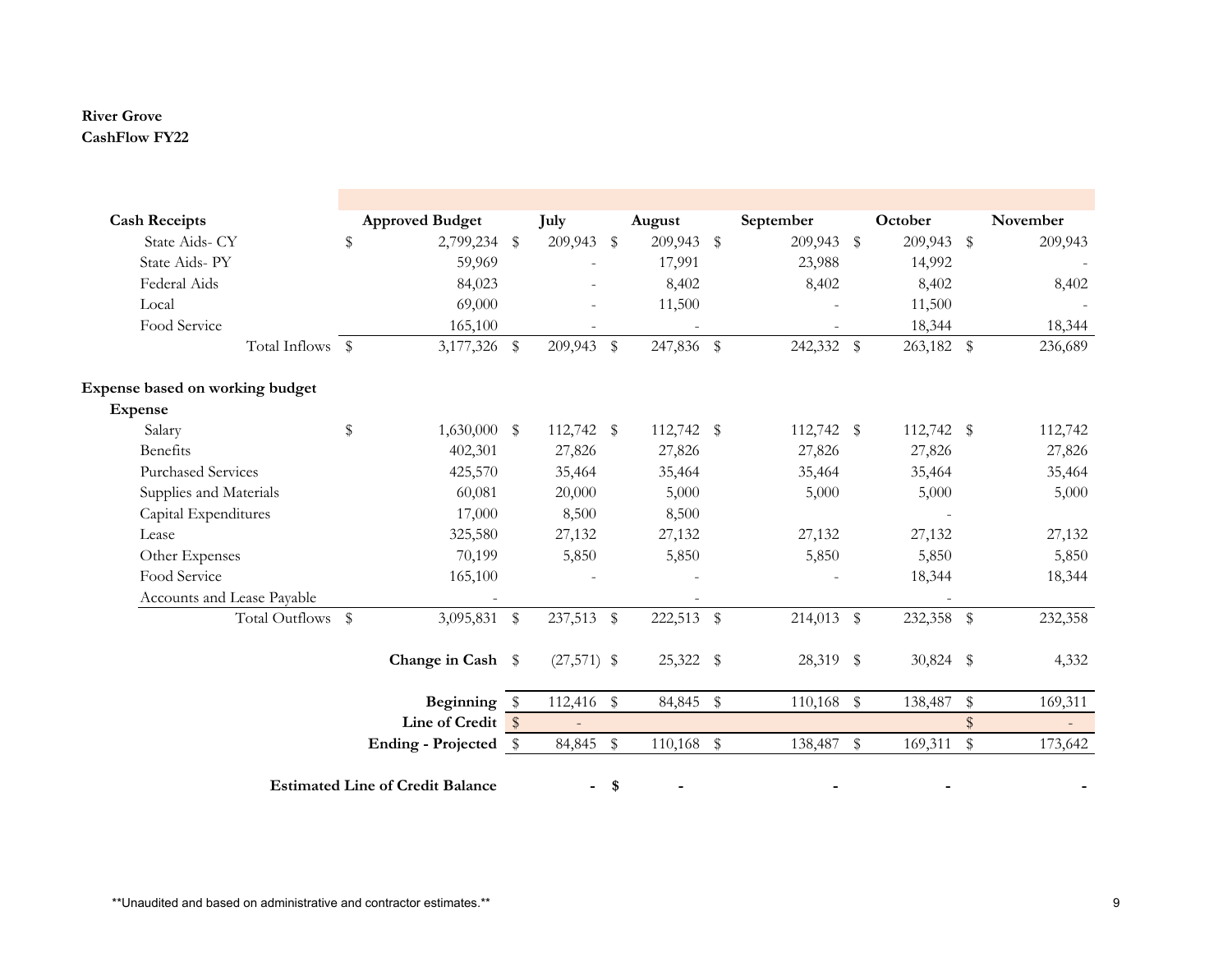## **River Grove CashFlow FY22**

| <b>Cash Receipts</b>            | <b>Approved Budget</b>                  |                   | July          |              | August       | September     |                | October     |               | November |
|---------------------------------|-----------------------------------------|-------------------|---------------|--------------|--------------|---------------|----------------|-------------|---------------|----------|
| State Aids- CY                  | \$                                      | 2,799,234 \$      | 209,943 \$    |              | 209,943 \$   | 209,943       | $\mathfrak{P}$ | 209,943     | - \$          | 209,943  |
| State Aids-PY                   |                                         | 59,969            |               |              | 17,991       | 23,988        |                | 14,992      |               |          |
| Federal Aids                    |                                         | 84,023            |               |              | 8,402        | 8,402         |                | 8,402       |               | 8,402    |
| Local                           |                                         | 69,000            |               |              | 11,500       |               |                | 11,500      |               |          |
| Food Service                    |                                         | 165,100           |               |              |              |               |                | 18,344      |               | 18,344   |
| Total Inflows \$                |                                         | 3,177,326 \$      | 209,943 \$    |              | 247,836 \$   | 242,332       | \$             | 263,182 \$  |               | 236,689  |
| Expense based on working budget |                                         |                   |               |              |              |               |                |             |               |          |
| <b>Expense</b>                  |                                         |                   |               |              |              |               |                |             |               |          |
| Salary                          | \$                                      | $1,630,000$ \$    | 112,742 \$    |              | 112,742 \$   | 112,742 \$    |                | 112,742 \$  |               | 112,742  |
| Benefits                        |                                         | 402,301           | 27,826        |              | 27,826       | 27,826        |                | 27,826      |               | 27,826   |
| <b>Purchased Services</b>       |                                         | 425,570           | 35,464        |              | 35,464       | 35,464        |                | 35,464      |               | 35,464   |
| Supplies and Materials          |                                         | 60,081            | 20,000        |              | 5,000        | 5,000         |                | 5,000       |               | 5,000    |
| Capital Expenditures            |                                         | 17,000            | 8,500         |              | 8,500        |               |                |             |               |          |
| Lease                           |                                         | 325,580           | 27,132        |              | 27,132       | 27,132        |                | 27,132      |               | 27,132   |
| Other Expenses                  |                                         | 70,199            | 5,850         |              | 5,850        | 5,850         |                | 5,850       |               | 5,850    |
| Food Service                    |                                         | 165,100           |               |              |              |               |                | 18,344      |               | 18,344   |
| Accounts and Lease Payable      |                                         |                   |               |              |              |               |                |             |               |          |
| Total Outflows \$               |                                         | 3,095,831 \$      | 237,513       | $\mathbb{S}$ | 222,513 \$   | 214,013       | $\frac{1}{2}$  | 232,358 \$  |               | 232,358  |
|                                 |                                         | Change in Cash \$ | $(27,571)$ \$ |              | 25,322 \$    | 28,319 \$     |                | $30,824$ \$ |               | 4,332    |
|                                 |                                         | Beginning \$      | 112,416       | $\mathbb{S}$ | 84,845       | \$<br>110,168 | \$             | 138,487     | \$            | 169,311  |
|                                 |                                         | Line of Credit \$ |               |              |              |               |                |             | $\$\$         | $\sim$   |
|                                 | Ending - Projected \$                   |                   | 84,845        | $\,$         | $110,168$ \$ | 138,487       | $\mathbb S$    | 169,311     | ${\mathbb S}$ | 173,642  |
|                                 | <b>Estimated Line of Credit Balance</b> |                   | ٠.            | \$           |              |               |                |             |               |          |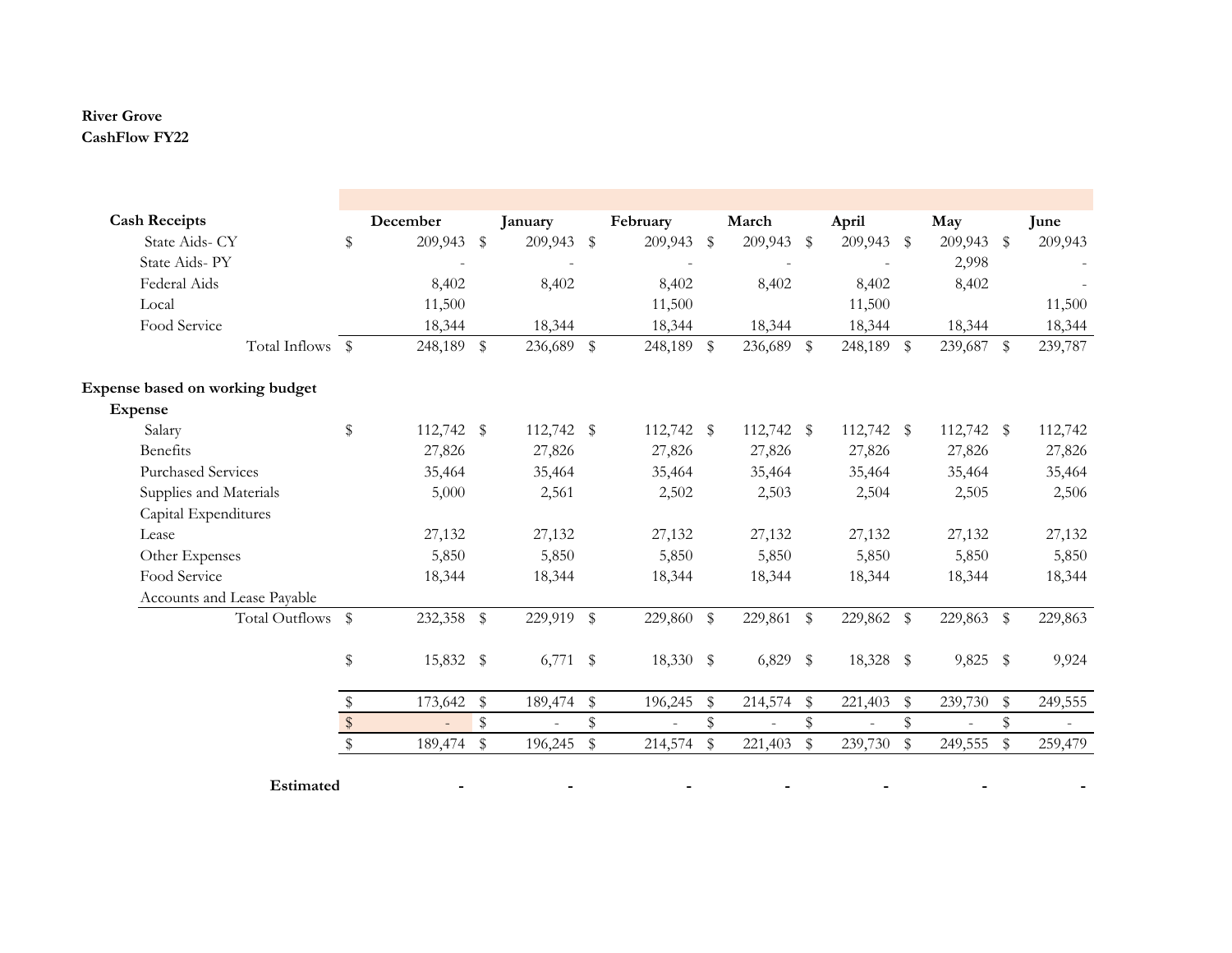## **River Grove CashFlow FY22**

| December<br>209,943 \$<br>8,402<br>11,500<br>18,344<br>248,189 \$<br>112,742 \$ |               | January<br>209,943 \$<br>8,402<br>18,344<br>236,689 \$ |                         | February<br>209,943<br>8,402<br>11,500<br>18,344<br>248,189 \$ | $\mathbb{S}$ | March<br>209,943 \$<br>8,402<br>18,344<br>236,689 \$ |                         | April<br>209,943 \$<br>8,402<br>11,500<br>18,344 | May<br>209,943<br>2,998<br>8,402<br>18,344 | \$          | June<br>209,943<br>11,500<br>18,344 |
|---------------------------------------------------------------------------------|---------------|--------------------------------------------------------|-------------------------|----------------------------------------------------------------|--------------|------------------------------------------------------|-------------------------|--------------------------------------------------|--------------------------------------------|-------------|-------------------------------------|
|                                                                                 |               |                                                        |                         |                                                                |              |                                                      |                         |                                                  |                                            |             |                                     |
|                                                                                 |               |                                                        |                         |                                                                |              |                                                      |                         |                                                  |                                            |             |                                     |
|                                                                                 |               |                                                        |                         |                                                                |              |                                                      |                         |                                                  |                                            |             |                                     |
|                                                                                 |               |                                                        |                         |                                                                |              |                                                      |                         |                                                  |                                            |             |                                     |
|                                                                                 |               |                                                        |                         |                                                                |              |                                                      |                         |                                                  |                                            |             |                                     |
|                                                                                 |               |                                                        |                         |                                                                |              |                                                      |                         | 248,189 \$                                       | 239,687 \$                                 |             | 239,787                             |
|                                                                                 |               |                                                        |                         |                                                                |              |                                                      |                         |                                                  |                                            |             |                                     |
|                                                                                 |               |                                                        |                         |                                                                |              |                                                      |                         |                                                  |                                            |             |                                     |
|                                                                                 |               | 112,742 \$                                             |                         | 112,742 \$                                                     |              | 112,742 \$                                           |                         | 112,742 \$                                       | 112,742 \$                                 |             | 112,742                             |
| 27,826                                                                          |               | 27,826                                                 |                         | 27,826                                                         |              | 27,826                                               |                         | 27,826                                           | 27,826                                     |             | 27,826                              |
| 35,464                                                                          |               | 35,464                                                 |                         | 35,464                                                         |              | 35,464                                               |                         | 35,464                                           | 35,464                                     |             | 35,464                              |
| 5,000                                                                           |               | 2,561                                                  |                         | 2,502                                                          |              | 2,503                                                |                         | 2,504                                            | 2,505                                      |             | 2,506                               |
|                                                                                 |               |                                                        |                         |                                                                |              |                                                      |                         |                                                  |                                            |             |                                     |
| 27,132                                                                          |               | 27,132                                                 |                         | 27,132                                                         |              | 27,132                                               |                         | 27,132                                           | 27,132                                     |             | 27,132                              |
| 5,850                                                                           |               | 5,850                                                  |                         | 5,850                                                          |              | 5,850                                                |                         | 5,850                                            | 5,850                                      |             | 5,850                               |
| 18,344                                                                          |               | 18,344                                                 |                         | 18,344                                                         |              | 18,344                                               |                         | 18,344                                           | 18,344                                     |             | 18,344                              |
|                                                                                 |               |                                                        |                         |                                                                |              |                                                      |                         |                                                  |                                            |             |                                     |
|                                                                                 |               |                                                        |                         | 229,860                                                        | \$           |                                                      |                         |                                                  |                                            |             | 229,863                             |
|                                                                                 |               |                                                        |                         |                                                                |              |                                                      |                         |                                                  |                                            |             | 9,924                               |
| 173,642                                                                         | \$            | 189,474                                                | \$                      | 196,245                                                        | \$           | 214,574                                              | - \$                    | 221,403                                          | \$<br>239,730                              | \$          | 249,555                             |
|                                                                                 | $\mathbb S$   |                                                        | \$                      |                                                                | $\,$         |                                                      | \$                      |                                                  | \$                                         | \$          |                                     |
|                                                                                 | ${\mathbb S}$ | 196,245                                                | $\sqrt[6]{\frac{1}{2}}$ | 214,574                                                        | $\mathbb S$  | 221,403                                              | $\sqrt[6]{\frac{1}{2}}$ | 239,730                                          | \$<br>249,555                              | $\mathbb S$ | 259,479                             |
|                                                                                 | 189,474       | 232,358 \$<br>15,832 \$                                |                         | 229,919 \$<br>$6,771$ \$                                       |              | 18,330 \$                                            |                         | 229,861 \$<br>$6,829$ \$                         | 229,862 \$<br>18,328 \$                    |             | 229,863 \$<br>$9,825$ \$            |